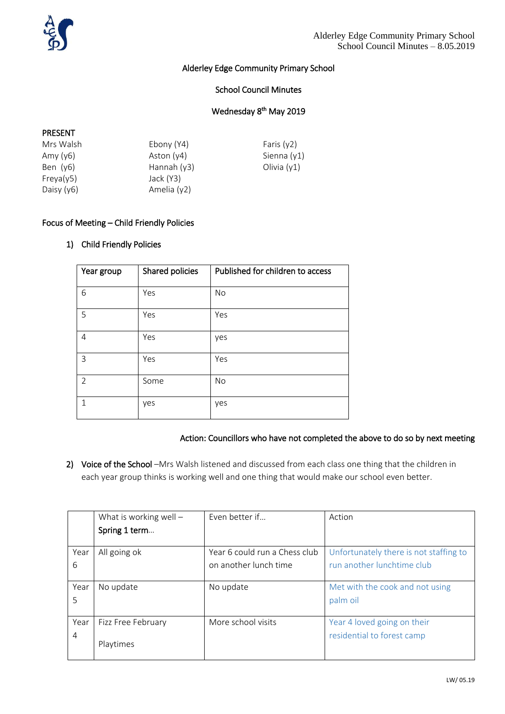

## Alderley Edge Community Primary School

## School Council Minutes

## Wednesday 8<sup>th</sup> May 2019

#### PRESENT

| Mrs Walsh    | Ebony (Y4)    | Faris $(y2)$  |
|--------------|---------------|---------------|
| Amy $(y6)$   | Aston $(y4)$  | Sienna (y1)   |
| Ben $(y6)$   | Hannah $(y3)$ | Olivia $(y1)$ |
| Freya(y5)    | Jack (Y3)     |               |
| Daisy $(y6)$ | Amelia (y2)   |               |

#### Focus of Meeting – Child Friendly Policies

### 1) Child Friendly Policies

| Year group     | Shared policies | Published for children to access |
|----------------|-----------------|----------------------------------|
| 6              | Yes             | No                               |
| 5              | Yes             | Yes                              |
| 4              | Yes             | yes                              |
| 3              | Yes             | Yes                              |
| $\overline{2}$ | Some            | No                               |
| 1              | yes             | yes                              |

#### Action: Councillors who have not completed the above to do so by next meeting

2) Voice of the School -Mrs Walsh listened and discussed from each class one thing that the children in each year group thinks is working well and one thing that would make our school even better.

|      | What is working well $-$ | Even better if                | Action                                 |
|------|--------------------------|-------------------------------|----------------------------------------|
|      | Spring 1 term            |                               |                                        |
|      |                          |                               |                                        |
| Year | All going ok             | Year 6 could run a Chess club | Unfortunately there is not staffing to |
| 6    |                          | on another lunch time         | run another lunchtime club             |
|      |                          |                               |                                        |
| Year | No update                | No update                     | Met with the cook and not using        |
| 5    |                          |                               | palm oil                               |
|      |                          |                               |                                        |
| Year | Fizz Free February       | More school visits            | Year 4 loved going on their            |
| 4    |                          |                               | residential to forest camp             |
|      | Playtimes                |                               |                                        |
|      |                          |                               |                                        |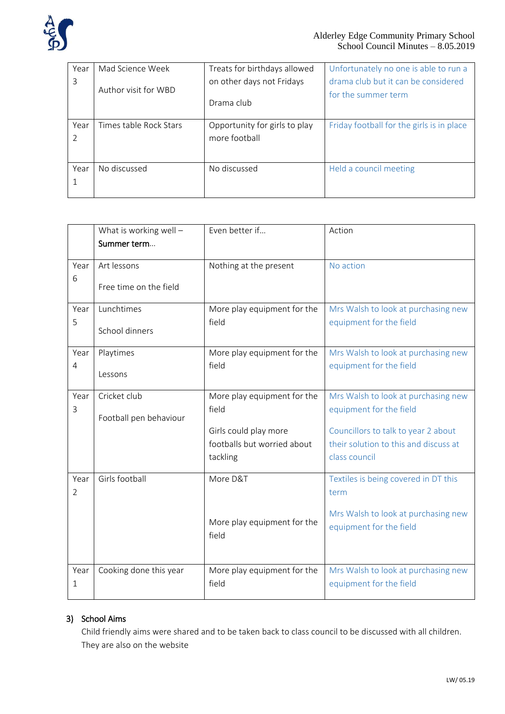

| Year | Mad Science Week       | Treats for birthdays allowed  | Unfortunately no one is able to run a     |
|------|------------------------|-------------------------------|-------------------------------------------|
| 3    |                        | on other days not Fridays     | drama club but it can be considered       |
|      | Author visit for WBD   | Drama club                    | for the summer term                       |
| Year | Times table Rock Stars | Opportunity for girls to play | Friday football for the girls is in place |
| C    |                        | more football                 |                                           |
|      |                        |                               |                                           |
| Year | No discussed           | No discussed                  | Held a council meeting                    |
|      |                        |                               |                                           |
|      |                        |                               |                                           |

|      | What is working well $-$ | Even better if              | Action                                |
|------|--------------------------|-----------------------------|---------------------------------------|
|      | Summer term              |                             |                                       |
| Year | Art lessons              | Nothing at the present      | No action                             |
| 6    | Free time on the field   |                             |                                       |
| Year | Lunchtimes               | More play equipment for the | Mrs Walsh to look at purchasing new   |
| 5    | School dinners           | field                       | equipment for the field               |
| Year | Playtimes                | More play equipment for the | Mrs Walsh to look at purchasing new   |
| 4    | Lessons                  | field                       | equipment for the field               |
|      |                          |                             |                                       |
| Year | Cricket club             | More play equipment for the | Mrs Walsh to look at purchasing new   |
| 3    | Football pen behaviour   | field                       | equipment for the field               |
|      |                          | Girls could play more       | Councillors to talk to year 2 about   |
|      |                          | footballs but worried about | their solution to this and discuss at |
|      |                          | tackling                    | class council                         |
| Year | Girls football           | More D&T                    | Textiles is being covered in DT this  |
| 2    |                          |                             | term                                  |
|      |                          |                             | Mrs Walsh to look at purchasing new   |
|      |                          | More play equipment for the | equipment for the field               |
|      |                          | field                       |                                       |
|      |                          |                             |                                       |
| Year | Cooking done this year   | More play equipment for the | Mrs Walsh to look at purchasing new   |
| 1    |                          | field                       | equipment for the field               |
|      |                          |                             |                                       |

# 3) School Aims

Child friendly aims were shared and to be taken back to class council to be discussed with all children. They are also on the website